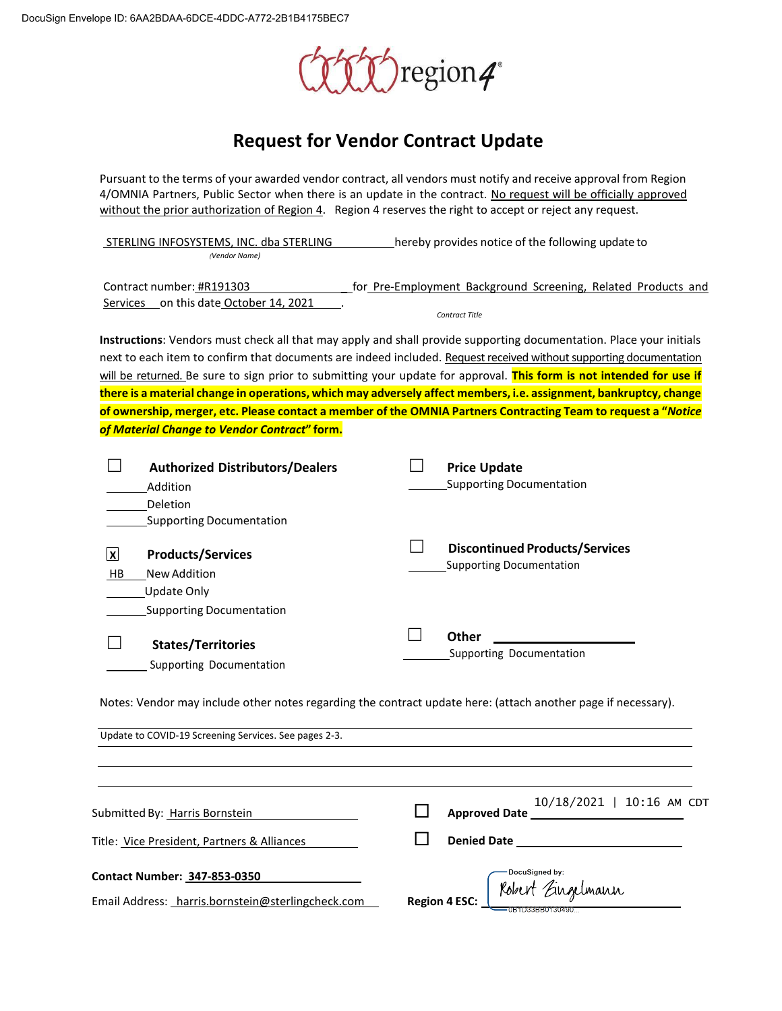

## **Request for Vendor Contract Update**

Pursuant to the terms of your awarded vendor contract, all vendors must notify and receive approval from Region 4/OMNIA Partners, Public Sector when there is an update in the contract. No request will be officially approved without the prior authorization of Region 4. Region 4 reserves the right to accept or reject any request.

STERLING INFOSYSTEMS, INC. dba STERLING hereby provides notice of the following update to *(Vendor Name)*

| Contract number: #R191303              | for Pre-Employment Background Screening, Related Products and |
|----------------------------------------|---------------------------------------------------------------|
| Services on this date October 14, 2021 |                                                               |
|                                        | Contract Title                                                |

**Instructions**: Vendors must check all that may apply and shall provide supporting documentation. Place your initials next to each item to confirm that documents are indeed included. Request received without supporting documentation will be returned. Be sure to sign prior to submitting your update for approval. **This form is not intended for use if there is a material change in operations, which may adversely affect members, i.e. assignment, bankruptcy, change of ownership, merger, etc. Please contact a member of the OMNIA Partners Contracting Team to request a "***Notice of Material Change to Vendor Contract***" form.**

|                 | <b>Authorized Distributors/Dealers</b><br>Addition<br>Deletion<br><b>Supporting Documentation</b> | <b>Price Update</b><br><b>Supporting Documentation</b> |                                       |
|-----------------|---------------------------------------------------------------------------------------------------|--------------------------------------------------------|---------------------------------------|
| <u> x</u><br>HB | <b>Products/Services</b><br>New Addition<br>Update Only<br><b>Supporting Documentation</b>        | <b>Supporting Documentation</b>                        | <b>Discontinued Products/Services</b> |
|                 | <b>States/Territories</b><br>Supporting Documentation                                             | Other<br>Supporting Documentation                      |                                       |

Notes: Vendor may include other notes regarding the contract update here: (attach another page if necessary).

 Update to COVID-19 Screening Services. See pages 2-3. 10/18/2021 | 10:16 AM CDT **Approved Date** Submitted By: Harris Bornstein **Denied Date**  Title: Vice President, Partners & Alliances DocuSigned by: **Contact Number: 347-853-0350** Contact number: 347-855-0550<br>Email Address: harris.bornstein@sterlingcheck.com Region 4 **ESC:** Kolzert Eingelmann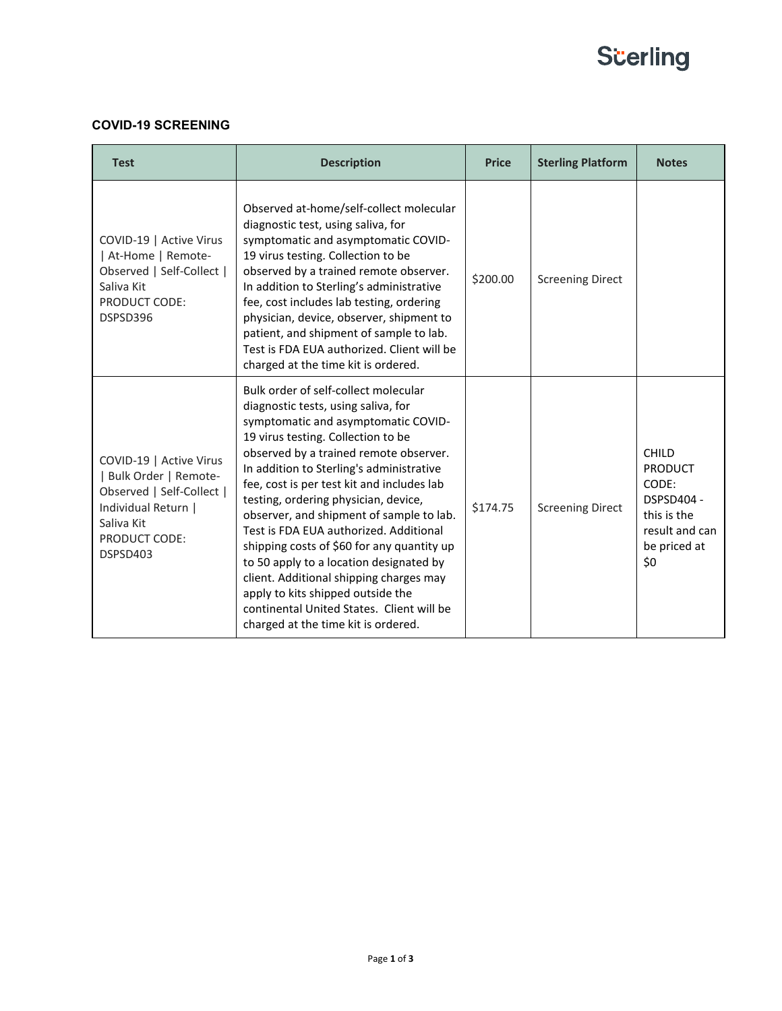# **Scerling**

### **COVID-19 SCREENING**

| <b>Test</b>                                                                                                                                           | <b>Description</b>                                                                                                                                                                                                                                                                                                                                                                                                                                                                                                                                                                                                                                                                      | <b>Price</b> | <b>Sterling Platform</b> | <b>Notes</b>                                                                                           |
|-------------------------------------------------------------------------------------------------------------------------------------------------------|-----------------------------------------------------------------------------------------------------------------------------------------------------------------------------------------------------------------------------------------------------------------------------------------------------------------------------------------------------------------------------------------------------------------------------------------------------------------------------------------------------------------------------------------------------------------------------------------------------------------------------------------------------------------------------------------|--------------|--------------------------|--------------------------------------------------------------------------------------------------------|
| COVID-19   Active Virus<br>  At-Home   Remote-<br>Observed   Self-Collect  <br>Saliva Kit<br>PRODUCT CODE:<br>DSPSD396                                | Observed at-home/self-collect molecular<br>diagnostic test, using saliva, for<br>symptomatic and asymptomatic COVID-<br>19 virus testing. Collection to be<br>observed by a trained remote observer.<br>In addition to Sterling's administrative<br>fee, cost includes lab testing, ordering<br>physician, device, observer, shipment to<br>patient, and shipment of sample to lab.<br>Test is FDA EUA authorized. Client will be<br>charged at the time kit is ordered.                                                                                                                                                                                                                | \$200.00     | <b>Screening Direct</b>  |                                                                                                        |
| COVID-19   Active Virus<br>Bulk Order   Remote-<br>Observed   Self-Collect  <br>Individual Return  <br>Saliva Kit<br><b>PRODUCT CODE:</b><br>DSPSD403 | Bulk order of self-collect molecular<br>diagnostic tests, using saliva, for<br>symptomatic and asymptomatic COVID-<br>19 virus testing. Collection to be<br>observed by a trained remote observer.<br>In addition to Sterling's administrative<br>fee, cost is per test kit and includes lab<br>testing, ordering physician, device,<br>observer, and shipment of sample to lab.<br>Test is FDA EUA authorized. Additional<br>shipping costs of \$60 for any quantity up<br>to 50 apply to a location designated by<br>client. Additional shipping charges may<br>apply to kits shipped outside the<br>continental United States. Client will be<br>charged at the time kit is ordered. | \$174.75     | <b>Screening Direct</b>  | CHILD<br><b>PRODUCT</b><br>CODE:<br>DSPSD404 -<br>this is the<br>result and can<br>be priced at<br>\$0 |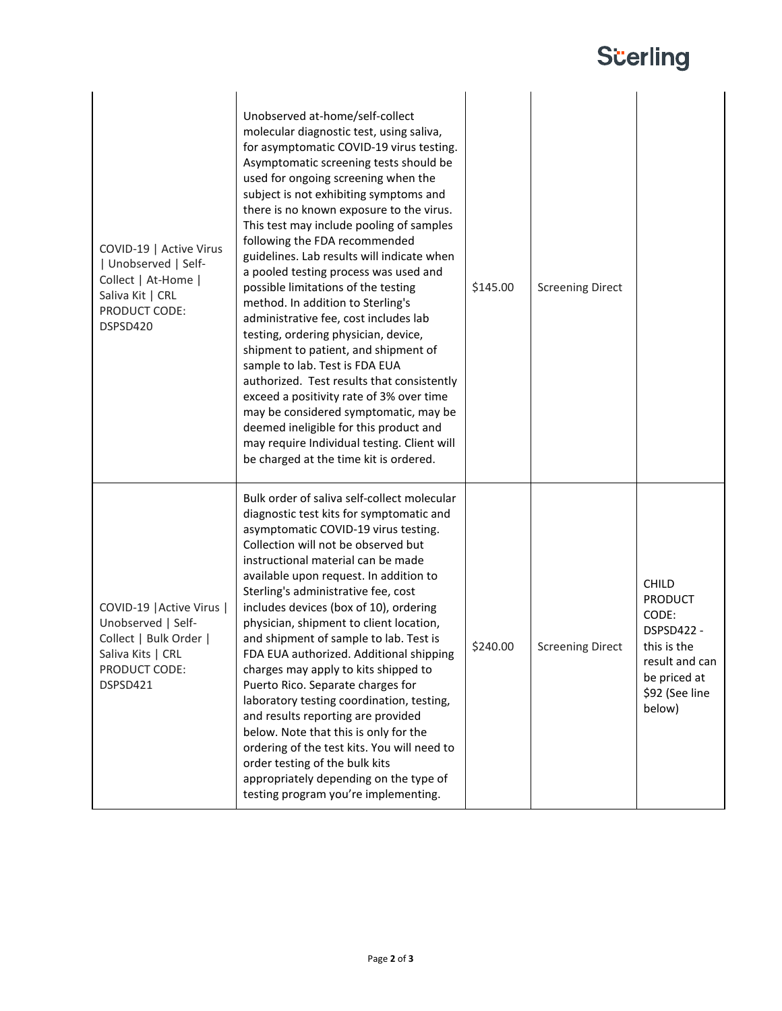# **Scerling**

| COVID-19   Active Virus<br>  Unobserved   Self-<br>Collect   At-Home  <br>Saliva Kit   CRL<br>PRODUCT CODE:<br>DSPSD420     | Unobserved at-home/self-collect<br>molecular diagnostic test, using saliva,<br>for asymptomatic COVID-19 virus testing.<br>Asymptomatic screening tests should be<br>used for ongoing screening when the<br>subject is not exhibiting symptoms and<br>there is no known exposure to the virus.<br>This test may include pooling of samples<br>following the FDA recommended<br>guidelines. Lab results will indicate when<br>a pooled testing process was used and<br>possible limitations of the testing<br>method. In addition to Sterling's<br>administrative fee, cost includes lab<br>testing, ordering physician, device,<br>shipment to patient, and shipment of<br>sample to lab. Test is FDA EUA<br>authorized. Test results that consistently<br>exceed a positivity rate of 3% over time<br>may be considered symptomatic, may be<br>deemed ineligible for this product and<br>may require Individual testing. Client will<br>be charged at the time kit is ordered. | \$145.00 | <b>Screening Direct</b> |                                                                                                                             |
|-----------------------------------------------------------------------------------------------------------------------------|---------------------------------------------------------------------------------------------------------------------------------------------------------------------------------------------------------------------------------------------------------------------------------------------------------------------------------------------------------------------------------------------------------------------------------------------------------------------------------------------------------------------------------------------------------------------------------------------------------------------------------------------------------------------------------------------------------------------------------------------------------------------------------------------------------------------------------------------------------------------------------------------------------------------------------------------------------------------------------|----------|-------------------------|-----------------------------------------------------------------------------------------------------------------------------|
| COVID-19   Active Virus  <br>Unobserved   Self-<br>Collect   Bulk Order  <br>Saliva Kits   CRL<br>PRODUCT CODE:<br>DSPSD421 | Bulk order of saliva self-collect molecular<br>diagnostic test kits for symptomatic and<br>asymptomatic COVID-19 virus testing.<br>Collection will not be observed but<br>instructional material can be made<br>available upon request. In addition to<br>Sterling's administrative fee, cost<br>includes devices (box of 10), ordering<br>physician, shipment to client location,<br>and shipment of sample to lab. Test is<br>FDA EUA authorized. Additional shipping<br>charges may apply to kits shipped to<br>Puerto Rico. Separate charges for<br>laboratory testing coordination, testing,<br>and results reporting are provided<br>below. Note that this is only for the<br>ordering of the test kits. You will need to<br>order testing of the bulk kits<br>appropriately depending on the type of<br>testing program you're implementing.                                                                                                                             | \$240.00 | <b>Screening Direct</b> | CHILD<br><b>PRODUCT</b><br>CODE:<br>DSPSD422 -<br>this is the<br>result and can<br>be priced at<br>\$92 (See line<br>below) |